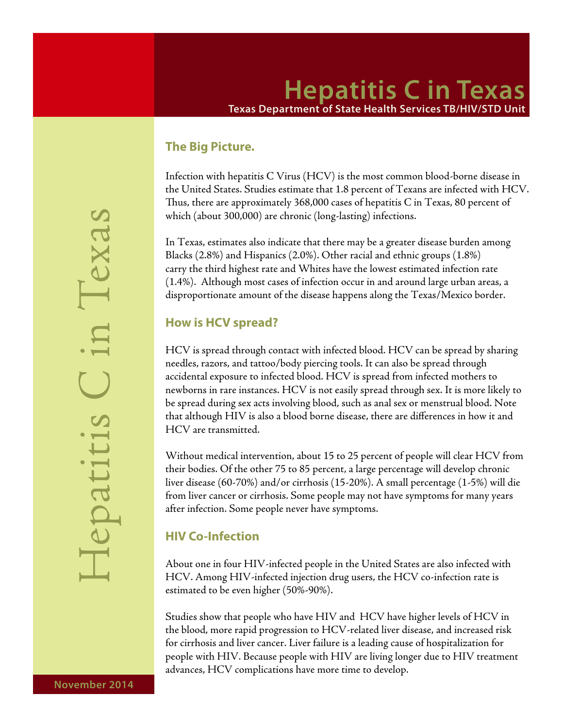## **Hepatitis C in Texas Texas Department of State Health Services TB/HIV/STD Unit**

#### **The Big Picture.**

Infection with hepatitis C Virus (HCV) is the most common blood-borne disease in the United States. Studies estimate that 1.8 percent of Texans are infected with HCV. Thus, there are approximately 368,000 cases of hepatitis C in Texas, 80 percent of which (about 300,000) are chronic (long-lasting) infections.

In Texas, estimates also indicate that there may be a greater disease burden among Blacks (2.8%) and Hispanics (2.0%). Other racial and ethnic groups (1.8%) carry the third highest rate and Whites have the lowest estimated infection rate (1.4%). Although most cases of infection occur in and around large urban areas, a disproportionate amount of the disease happens along the Texas/Mexico border.

#### **How is HCV spread?**

HCV is spread through contact with infected blood. HCV can be spread by sharing needles, razors, and tattoo/body piercing tools. It can also be spread through accidental exposure to infected blood. HCV is spread from infected mothers to newborns in rare instances. HCV is not easily spread through sex. It is more likely to be spread during sex acts involving blood, such as anal sex or menstrual blood. Note that although HIV is also a blood borne disease, there are differences in how it and HCV are transmitted.

Without medical intervention, about 15 to 25 percent of people will clear HCV from their bodies. Of the other 75 to 85 percent, a large percentage will develop chronic liver disease (60-70%) and/or cirrhosis (15-20%). A small percentage (1-5%) will die from liver cancer or cirrhosis. Some people may not have symptoms for many years after infection. Some people never have symptoms.

## **HIV Co-Infection**

About one in four HIV-infected people in the United States are also infected with HCV. Among HIV-infected injection drug users, the HCV co-infection rate is estimated to be even higher (50%-90%).

Studies show that people who have HIV and HCV have higher levels of HCV in the blood, more rapid progression to HCV-related liver disease, and increased risk for cirrhosis and liver cancer. Liver failure is a leading cause of hospitalization for people with HIV. Because people with HIV are living longer due to HIV treatment advances, HCV complications have more time to develop.